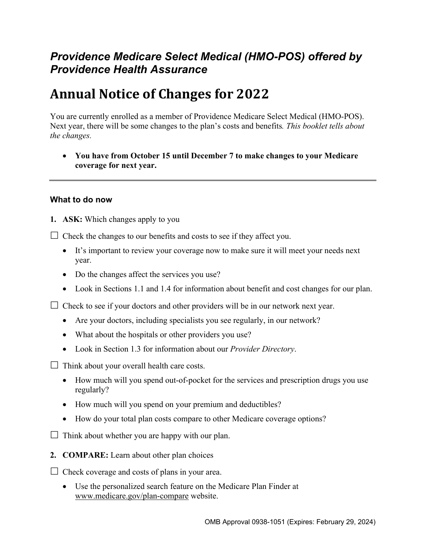# *Providence Medicare Select Medical (HMO-POS) offered by Providence Health Assurance*

# **Annual Notice of Changes for 2022**

You are currently enrolled as a member of Providence Medicare Select Medical (HMO-POS). Next year, there will be some changes to the plan's costs and benefits*. This booklet tells about the changes.* 

 **You have from October 15 until December 7 to make changes to your Medicare coverage for next year.** 

#### **What to do now**

**1. ASK:** Which changes apply to you

 $\Box$  Check the changes to our benefits and costs to see if they affect you.

- It's important to review your coverage now to make sure it will meet your needs next year.
- Do the changes affect the services you use?
- Look in Sections 1.1 and 1.4 for information about benefit and cost changes for our plan.

 $\Box$  Check to see if your doctors and other providers will be in our network next year.

- Are your doctors, including specialists you see regularly, in our network?
- What about the hospitals or other providers you use?
- Look in Section 1.3 for information about our *Provider Directory*.

 $\Box$  Think about your overall health care costs.

- How much will you spend out-of-pocket for the services and prescription drugs you use regularly?
- How much will you spend on your premium and deductibles?
- How do your total plan costs compare to other Medicare coverage options?

 $\Box$  Think about whether you are happy with our plan.

**2. COMPARE:** Learn about other plan choices

 $\Box$  Check coverage and costs of plans in your area.

 Use the personalized search feature on the Medicare Plan Finder at [www.medicare.gov/plan-compare](http://www.medicare.gov/plan-compare) website.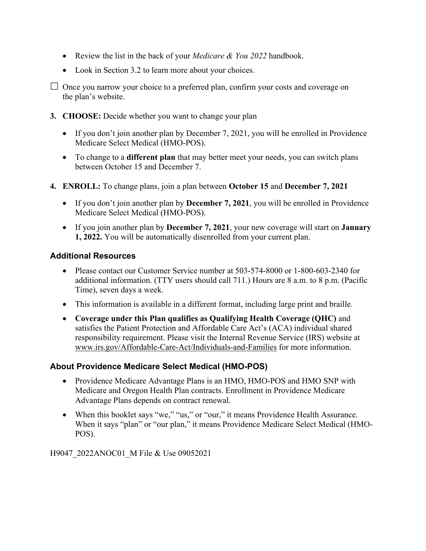- Review the list in the back of your *Medicare & You 2022* handbook.
- Look in Section 3.2 to learn more about your choices.

 $\Box$  Once you narrow your choice to a preferred plan, confirm your costs and coverage on the plan's website.

- **3. CHOOSE:** Decide whether you want to change your plan
	- If you don't join another plan by December 7, 2021, you will be enrolled in Providence Medicare Select Medical (HMO-POS).
	- To change to a **different plan** that may better meet your needs, you can switch plans between October 15 and December 7.
- **4. ENROLL:** To change plans, join a plan between **October 15** and **December 7, 2021**
	- If you don't join another plan by **December 7, 2021**, you will be enrolled in Providence Medicare Select Medical (HMO-POS).
	- If you join another plan by **December 7, 2021**, your new coverage will start on **January 1, 2022.** You will be automatically disenrolled from your current plan.

#### **Additional Resources**

- Please contact our Customer Service number at 503-574-8000 or 1-800-603-2340 for additional information. (TTY users should call 711.) Hours are 8 a.m. to 8 p.m. (Pacific Time), seven days a week.
- This information is available in a different format, including large print and braille.
- **Coverage under this Plan qualifies as Qualifying Health Coverage (QHC)** and satisfies the Patient Protection and Affordable Care Act's (ACA) individual shared responsibility requirement. Please visit the Internal Revenue Service (IRS) website at [www.irs.gov/Affordable-Care-Act/Individuals-and-Families](http://www.irs.gov/Affordable-Care-Act/Individuals-and-Families) for more information.

### **About Providence Medicare Select Medical (HMO-POS)**

- Providence Medicare Advantage Plans is an HMO, HMO-POS and HMO SNP with Medicare and Oregon Health Plan contracts. Enrollment in Providence Medicare Advantage Plans depends on contract renewal.
- When this booklet says "we," "us," or "our," it means Providence Health Assurance. When it says "plan" or "our plan," it means Providence Medicare Select Medical (HMO-POS).

H9047\_2022ANOC01\_M File & Use 09052021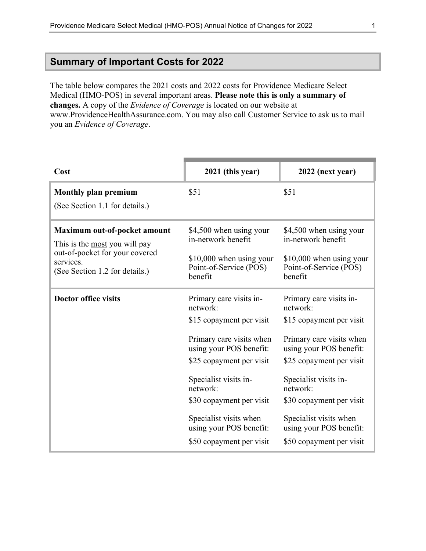### <span id="page-2-0"></span>**Summary of Important Costs for 2022**

The table below compares the 2021 costs and 2022 costs for Providence Medicare Select Medical (HMO-POS) in several important areas. **Please note this is only a summary of changes.** A copy of the *Evidence of Coverage* is located on our website at [www.ProvidenceHealthAssurance.com.](http://www.ProvidenceHealthAssurance.com) You may also call Customer Service to ask us to mail you an *Evidence of Coverage*.

| Cost                                                                          | 2021 (this year)                                              | 2022 (next year)                                              |
|-------------------------------------------------------------------------------|---------------------------------------------------------------|---------------------------------------------------------------|
| <b>Monthly plan premium</b><br>(See Section 1.1 for details.)                 | \$51                                                          | \$51                                                          |
|                                                                               |                                                               |                                                               |
| Maximum out-of-pocket amount<br>This is the most you will pay                 | \$4,500 when using your<br>in-network benefit                 | \$4,500 when using your<br>in-network benefit                 |
| out-of-pocket for your covered<br>services.<br>(See Section 1.2 for details.) | \$10,000 when using your<br>Point-of-Service (POS)<br>benefit | \$10,000 when using your<br>Point-of-Service (POS)<br>benefit |
| <b>Doctor office visits</b>                                                   | Primary care visits in-<br>network:                           | Primary care visits in-<br>network:                           |
|                                                                               | \$15 copayment per visit                                      | \$15 copayment per visit                                      |
|                                                                               | Primary care visits when<br>using your POS benefit:           | Primary care visits when<br>using your POS benefit:           |
|                                                                               | \$25 copayment per visit                                      | \$25 copayment per visit                                      |
|                                                                               | Specialist visits in-<br>network:                             | Specialist visits in-<br>network:                             |
|                                                                               | \$30 copayment per visit                                      | \$30 copayment per visit                                      |
|                                                                               | Specialist visits when<br>using your POS benefit:             | Specialist visits when<br>using your POS benefit:             |
|                                                                               | \$50 copayment per visit                                      | \$50 copayment per visit                                      |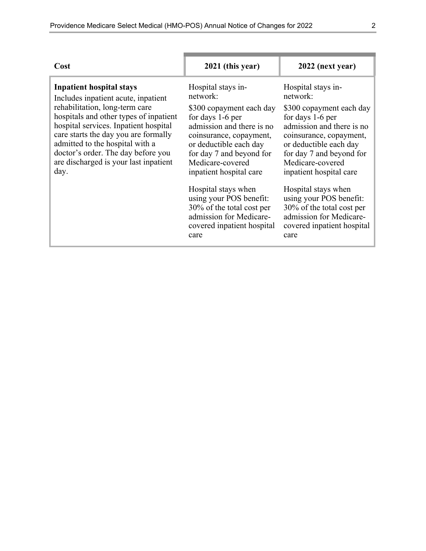| Cost                                                                                                                                                                                                                                                                                                                                                          | 2021 (this year)                                                                                                                                                                                                                                                                                                                                                                            | 2022 (next year)                                                                                                                                                                                                                                                                                                                                                                            |
|---------------------------------------------------------------------------------------------------------------------------------------------------------------------------------------------------------------------------------------------------------------------------------------------------------------------------------------------------------------|---------------------------------------------------------------------------------------------------------------------------------------------------------------------------------------------------------------------------------------------------------------------------------------------------------------------------------------------------------------------------------------------|---------------------------------------------------------------------------------------------------------------------------------------------------------------------------------------------------------------------------------------------------------------------------------------------------------------------------------------------------------------------------------------------|
| <b>Inpatient hospital stays</b><br>Includes inpatient acute, inpatient<br>rehabilitation, long-term care<br>hospitals and other types of inpatient<br>hospital services. Inpatient hospital<br>care starts the day you are formally<br>admitted to the hospital with a<br>doctor's order. The day before you<br>are discharged is your last inpatient<br>day. | Hospital stays in-<br>network:<br>\$300 copayment each day<br>for days 1-6 per<br>admission and there is no<br>coinsurance, copayment,<br>or deductible each day<br>for day 7 and beyond for<br>Medicare-covered<br>inpatient hospital care<br>Hospital stays when<br>using your POS benefit:<br>30% of the total cost per<br>admission for Medicare-<br>covered inpatient hospital<br>care | Hospital stays in-<br>network:<br>\$300 copayment each day<br>for days 1-6 per<br>admission and there is no<br>coinsurance, copayment,<br>or deductible each day<br>for day 7 and beyond for<br>Medicare-covered<br>inpatient hospital care<br>Hospital stays when<br>using your POS benefit:<br>30% of the total cost per<br>admission for Medicare-<br>covered inpatient hospital<br>care |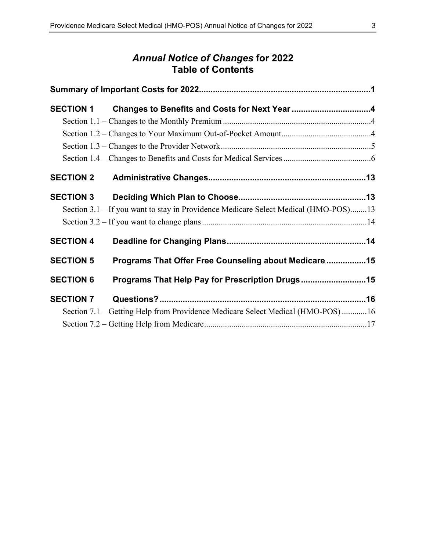# *Annual Notice of Changes* **for 2022 Table of Contents**

|                  | SECTION 1 Changes to Benefits and Costs for Next Year 4                             |  |
|------------------|-------------------------------------------------------------------------------------|--|
|                  |                                                                                     |  |
|                  |                                                                                     |  |
|                  |                                                                                     |  |
|                  |                                                                                     |  |
| <b>SECTION 2</b> |                                                                                     |  |
| <b>SECTION 3</b> |                                                                                     |  |
|                  | Section 3.1 – If you want to stay in Providence Medicare Select Medical (HMO-POS)13 |  |
|                  |                                                                                     |  |
| <b>SECTION 4</b> |                                                                                     |  |
| <b>SECTION 5</b> | Programs That Offer Free Counseling about Medicare  15                              |  |
| <b>SECTION 6</b> | Programs That Help Pay for Prescription Drugs15                                     |  |
| <b>SECTION 7</b> |                                                                                     |  |
|                  | Section 7.1 – Getting Help from Providence Medicare Select Medical (HMO-POS)16      |  |
|                  |                                                                                     |  |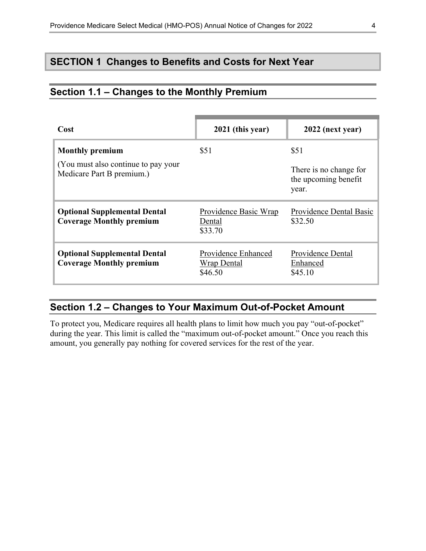### <span id="page-5-0"></span>**SECTION 1 Changes to Benefits and Costs for Next Year**

### <span id="page-5-1"></span>**Section 1.1 – Changes to the Monthly Premium**

| Cost                                                                   | 2021 (this year)                              | 2022 (next year)                                        |
|------------------------------------------------------------------------|-----------------------------------------------|---------------------------------------------------------|
| <b>Monthly premium</b>                                                 | \$51                                          | \$51                                                    |
| (You must also continue to pay your)<br>Medicare Part B premium.)      |                                               | There is no change for<br>the upcoming benefit<br>year. |
| <b>Optional Supplemental Dental</b><br><b>Coverage Monthly premium</b> | Providence Basic Wrap<br>Dental<br>\$33.70    | Providence Dental Basic<br>\$32.50                      |
| <b>Optional Supplemental Dental</b><br><b>Coverage Monthly premium</b> | Providence Enhanced<br>Wrap Dental<br>\$46.50 | Providence Dental<br>Enhanced<br>\$45.10                |

# <span id="page-5-2"></span>**Section 1.2 – Changes to Your Maximum Out-of-Pocket Amount**

 amount, you generally pay nothing for covered services for the rest of the year. To protect you, Medicare requires all health plans to limit how much you pay "out-of-pocket" during the year. This limit is called the "maximum out-of-pocket amount." Once you reach this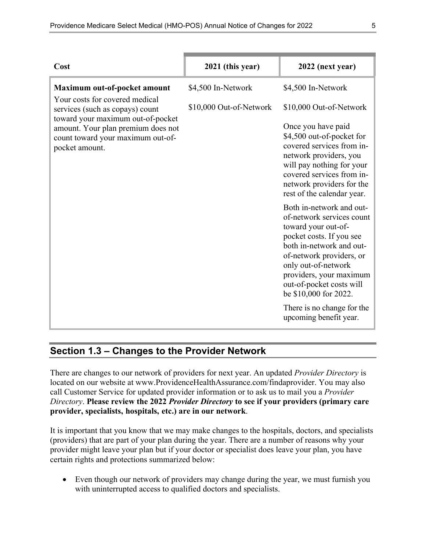| Cost                                                                                                   | 2021 (this year)        | 2022 (next year)                                                                                                                                                                                                                                                        |
|--------------------------------------------------------------------------------------------------------|-------------------------|-------------------------------------------------------------------------------------------------------------------------------------------------------------------------------------------------------------------------------------------------------------------------|
| Maximum out-of-pocket amount                                                                           | \$4,500 In-Network      | \$4,500 In-Network                                                                                                                                                                                                                                                      |
| Your costs for covered medical<br>services (such as copays) count<br>toward your maximum out-of-pocket | \$10,000 Out-of-Network | \$10,000 Out-of-Network                                                                                                                                                                                                                                                 |
| amount. Your plan premium does not<br>count toward your maximum out-of-<br>pocket amount.              |                         | Once you have paid<br>\$4,500 out-of-pocket for<br>covered services from in-<br>network providers, you<br>will pay nothing for your<br>covered services from in-<br>network providers for the<br>rest of the calendar year.                                             |
|                                                                                                        |                         | Both in-network and out-<br>of-network services count<br>toward your out-of-<br>pocket costs. If you see<br>both in-network and out-<br>of-network providers, or<br>only out-of-network<br>providers, your maximum<br>out-of-pocket costs will<br>be \$10,000 for 2022. |
|                                                                                                        |                         | There is no change for the<br>upcoming benefit year.                                                                                                                                                                                                                    |

### <span id="page-6-0"></span>**Section 1.3 – Changes to the Provider Network**

 **provider, specialists, hospitals, etc.) are in our network**. There are changes to our network of providers for next year. An updated *Provider Directory* is located on our website at [www.ProvidenceHealthAssurance.com/findaprovider.](http://www.ProvidenceHealthAssurance.com/findaprovider) You may also call Customer Service for updated provider information or to ask us to mail you a *Provider Directory*. **Please review the 2022** *Provider Directory* **to see if your providers (primary care** 

It is important that you know that we may make changes to the hospitals, doctors, and specialists (providers) that are part of your plan during the year. There are a number of reasons why your provider might leave your plan but if your doctor or specialist does leave your plan, you have certain rights and protections summarized below:

 Even though our network of providers may change during the year, we must furnish you with uninterrupted access to qualified doctors and specialists.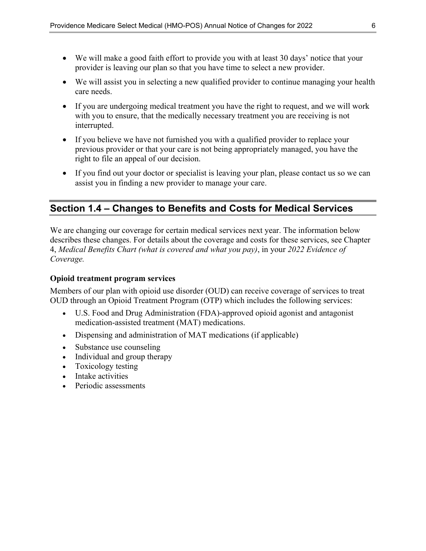- We will make a good faith effort to provide you with at least 30 days' notice that your provider is leaving our plan so that you have time to select a new provider.
- We will assist you in selecting a new qualified provider to continue managing your health care needs.
- If you are undergoing medical treatment you have the right to request, and we will work with you to ensure, that the medically necessary treatment you are receiving is not interrupted.
- If you believe we have not furnished you with a qualified provider to replace your previous provider or that your care is not being appropriately managed, you have the right to file an appeal of our decision.
- If you find out your doctor or specialist is leaving your plan, please contact us so we can assist you in finding a new provider to manage your care.

# <span id="page-7-0"></span>**Section 1.4 – Changes to Benefits and Costs for Medical Services**

We are changing our coverage for certain medical services next year. The information below describes these changes. For details about the coverage and costs for these services, see Chapter 4, *Medical Benefits Chart (what is covered and what you pay)*, in your *2022 Evidence of Coverage.* 

#### **Opioid treatment program services**

Members of our plan with opioid use disorder (OUD) can receive coverage of services to treat OUD through an Opioid Treatment Program (OTP) which includes the following services:

- U.S. Food and Drug Administration (FDA)-approved opioid agonist and antagonist medication-assisted treatment (MAT) medications.
- Dispensing and administration of MAT medications (if applicable)
- Substance use counseling
- Individual and group therapy
- Toxicology testing
- Intake activities
- Periodic assessments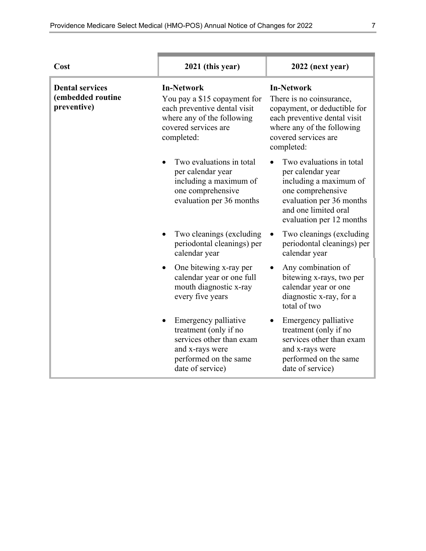| Cost                                                       | 2021 (this year)                                                                                                                                      | 2022 (next year)                                                                                                                                                                  |
|------------------------------------------------------------|-------------------------------------------------------------------------------------------------------------------------------------------------------|-----------------------------------------------------------------------------------------------------------------------------------------------------------------------------------|
| <b>Dental services</b><br>(embedded routine<br>preventive) | <b>In-Network</b><br>You pay a \$15 copayment for<br>each preventive dental visit<br>where any of the following<br>covered services are<br>completed: | <b>In-Network</b><br>There is no coinsurance,<br>copayment, or deductible for<br>each preventive dental visit<br>where any of the following<br>covered services are<br>completed: |
|                                                            | Two evaluations in total<br>per calendar year<br>including a maximum of<br>one comprehensive<br>evaluation per 36 months                              | Two evaluations in total<br>per calendar year<br>including a maximum of<br>one comprehensive<br>evaluation per 36 months<br>and one limited oral<br>evaluation per 12 months      |
|                                                            | Two cleanings (excluding<br>periodontal cleanings) per<br>calendar year                                                                               | Two cleanings (excluding<br>periodontal cleanings) per<br>calendar year                                                                                                           |
|                                                            | One bitewing x-ray per<br>calendar year or one full<br>mouth diagnostic x-ray<br>every five years                                                     | Any combination of<br>bitewing x-rays, two per<br>calendar year or one<br>diagnostic x-ray, for a<br>total of two                                                                 |
|                                                            | Emergency palliative<br>treatment (only if no<br>services other than exam<br>and x-rays were<br>performed on the same<br>date of service)             | Emergency palliative<br>treatment (only if no<br>services other than exam<br>and x-rays were<br>performed on the same<br>date of service)                                         |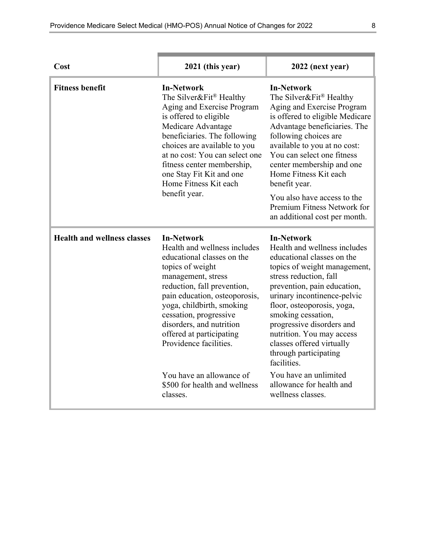| Cost                               | 2021 (this year)                                                                                                                                                                                                                                                                                                                                                                                            | 2022 (next year)                                                                                                                                                                                                                                                                                                                                                                                                                                                     |
|------------------------------------|-------------------------------------------------------------------------------------------------------------------------------------------------------------------------------------------------------------------------------------------------------------------------------------------------------------------------------------------------------------------------------------------------------------|----------------------------------------------------------------------------------------------------------------------------------------------------------------------------------------------------------------------------------------------------------------------------------------------------------------------------------------------------------------------------------------------------------------------------------------------------------------------|
| <b>Fitness benefit</b>             | <b>In-Network</b><br>The Silver&Fit® Healthy<br>Aging and Exercise Program<br>is offered to eligible<br>Medicare Advantage<br>beneficiaries. The following<br>choices are available to you<br>at no cost: You can select one<br>fitness center membership,<br>one Stay Fit Kit and one<br>Home Fitness Kit each<br>benefit year.                                                                            | <b>In-Network</b><br>The Silver&Fit® Healthy<br>Aging and Exercise Program<br>is offered to eligible Medicare<br>Advantage beneficiaries. The<br>following choices are<br>available to you at no cost:<br>You can select one fitness<br>center membership and one<br>Home Fitness Kit each<br>benefit year.<br>You also have access to the<br>Premium Fitness Network for<br>an additional cost per month.                                                           |
| <b>Health and wellness classes</b> | <b>In-Network</b><br>Health and wellness includes<br>educational classes on the<br>topics of weight<br>management, stress<br>reduction, fall prevention,<br>pain education, osteoporosis,<br>yoga, childbirth, smoking<br>cessation, progressive<br>disorders, and nutrition<br>offered at participating<br>Providence facilities.<br>You have an allowance of<br>\$500 for health and wellness<br>classes. | <b>In-Network</b><br>Health and wellness includes<br>educational classes on the<br>topics of weight management,<br>stress reduction, fall<br>prevention, pain education,<br>urinary incontinence-pelvic<br>floor, osteoporosis, yoga,<br>smoking cessation,<br>progressive disorders and<br>nutrition. You may access<br>classes offered virtually<br>through participating<br>facilities.<br>You have an unlimited<br>allowance for health and<br>wellness classes. |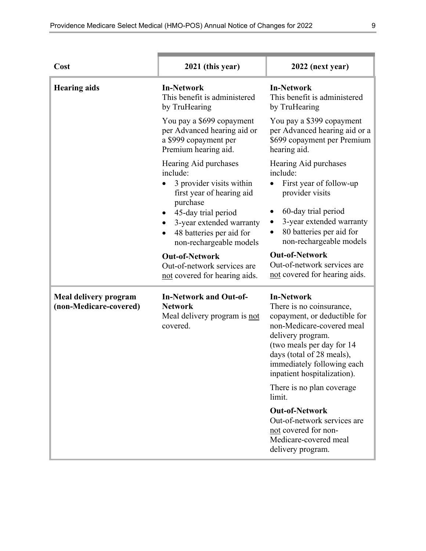| Cost                                            | 2021 (this year)                                                                                                                                                                                                 | 2022 (next year)                                                                                                                                                                                                                                                                     |
|-------------------------------------------------|------------------------------------------------------------------------------------------------------------------------------------------------------------------------------------------------------------------|--------------------------------------------------------------------------------------------------------------------------------------------------------------------------------------------------------------------------------------------------------------------------------------|
| <b>Hearing aids</b>                             | <b>In-Network</b><br>This benefit is administered<br>by TruHearing                                                                                                                                               | <b>In-Network</b><br>This benefit is administered<br>by TruHearing                                                                                                                                                                                                                   |
|                                                 | You pay a \$699 copayment<br>per Advanced hearing aid or<br>a \$999 copayment per<br>Premium hearing aid.                                                                                                        | You pay a \$399 copayment<br>per Advanced hearing aid or a<br>\$699 copayment per Premium<br>hearing aid.                                                                                                                                                                            |
|                                                 | Hearing Aid purchases<br>include:<br>3 provider visits within<br>first year of hearing aid<br>purchase<br>45-day trial period<br>3-year extended warranty<br>48 batteries per aid for<br>non-rechargeable models | Hearing Aid purchases<br>include:<br>First year of follow-up<br>provider visits<br>60-day trial period<br>3-year extended warranty<br>80 batteries per aid for<br>non-rechargeable models                                                                                            |
|                                                 | <b>Out-of-Network</b><br>Out-of-network services are<br>not covered for hearing aids.                                                                                                                            | <b>Out-of-Network</b><br>Out-of-network services are<br>not covered for hearing aids.                                                                                                                                                                                                |
| Meal delivery program<br>(non-Medicare-covered) | <b>In-Network and Out-of-</b><br><b>Network</b><br>Meal delivery program is not<br>covered.                                                                                                                      | <b>In-Network</b><br>There is no coinsurance,<br>copayment, or deductible for<br>non-Medicare-covered meal<br>delivery program.<br>(two meals per day for 14)<br>days (total of 28 meals),<br>immediately following each<br>inpatient hospitalization).<br>There is no plan coverage |
|                                                 |                                                                                                                                                                                                                  | limit.<br><b>Out-of-Network</b><br>Out-of-network services are<br>not covered for non-<br>Medicare-covered meal<br>delivery program.                                                                                                                                                 |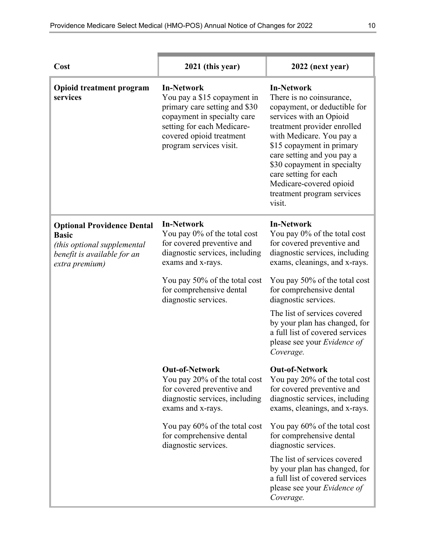| Cost                                                                                                                              | 2021 (this year)                                                                                                                                                                                      | 2022 (next year)                                                                                                                                                                                                                                                                                                                                          |
|-----------------------------------------------------------------------------------------------------------------------------------|-------------------------------------------------------------------------------------------------------------------------------------------------------------------------------------------------------|-----------------------------------------------------------------------------------------------------------------------------------------------------------------------------------------------------------------------------------------------------------------------------------------------------------------------------------------------------------|
| <b>Opioid treatment program</b><br>services                                                                                       | <b>In-Network</b><br>You pay a \$15 copayment in<br>primary care setting and \$30<br>copayment in specialty care<br>setting for each Medicare-<br>covered opioid treatment<br>program services visit. | <b>In-Network</b><br>There is no coinsurance,<br>copayment, or deductible for<br>services with an Opioid<br>treatment provider enrolled<br>with Medicare. You pay a<br>\$15 copayment in primary<br>care setting and you pay a<br>\$30 copayment in specialty<br>care setting for each<br>Medicare-covered opioid<br>treatment program services<br>visit. |
| <b>Optional Providence Dental</b><br><b>Basic</b><br>(this optional supplemental<br>benefit is available for an<br>extra premium) | <b>In-Network</b><br>You pay 0% of the total cost<br>for covered preventive and<br>diagnostic services, including<br>exams and x-rays.                                                                | <b>In-Network</b><br>You pay 0% of the total cost<br>for covered preventive and<br>diagnostic services, including<br>exams, cleanings, and x-rays.                                                                                                                                                                                                        |
|                                                                                                                                   | You pay 50% of the total cost<br>for comprehensive dental<br>diagnostic services.                                                                                                                     | You pay 50% of the total cost<br>for comprehensive dental<br>diagnostic services.                                                                                                                                                                                                                                                                         |
|                                                                                                                                   |                                                                                                                                                                                                       | The list of services covered<br>by your plan has changed, for<br>a full list of covered services<br>please see your Evidence of<br>Coverage.                                                                                                                                                                                                              |
|                                                                                                                                   | <b>Out-of-Network</b><br>You pay 20% of the total cost<br>for covered preventive and<br>diagnostic services, including<br>exams and x-rays.                                                           | <b>Out-of-Network</b><br>You pay 20% of the total cost<br>for covered preventive and<br>diagnostic services, including<br>exams, cleanings, and x-rays.                                                                                                                                                                                                   |
|                                                                                                                                   | You pay 60% of the total cost<br>for comprehensive dental<br>diagnostic services.                                                                                                                     | You pay 60% of the total cost<br>for comprehensive dental<br>diagnostic services.                                                                                                                                                                                                                                                                         |
|                                                                                                                                   |                                                                                                                                                                                                       | The list of services covered<br>by your plan has changed, for<br>a full list of covered services<br>please see your <i>Evidence of</i><br>Coverage.                                                                                                                                                                                                       |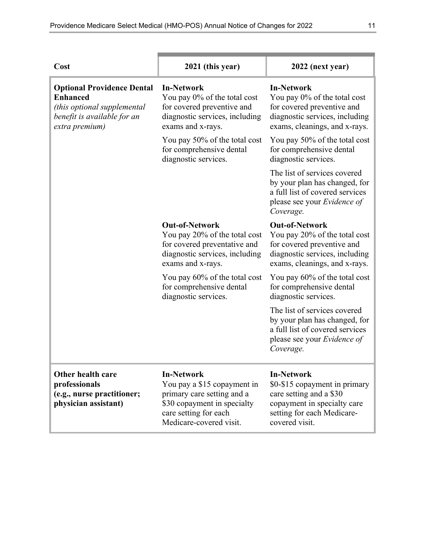| Cost                                                                                                                                 | 2021 (this year)                                                                                                                                                  | 2022 (next year)                                                                                                                                             |
|--------------------------------------------------------------------------------------------------------------------------------------|-------------------------------------------------------------------------------------------------------------------------------------------------------------------|--------------------------------------------------------------------------------------------------------------------------------------------------------------|
| <b>Optional Providence Dental</b><br><b>Enhanced</b><br>(this optional supplemental<br>benefit is available for an<br>extra premium) | <b>In-Network</b><br>You pay 0% of the total cost<br>for covered preventive and<br>diagnostic services, including<br>exams and x-rays.                            | <b>In-Network</b><br>You pay 0% of the total cost<br>for covered preventive and<br>diagnostic services, including<br>exams, cleanings, and x-rays.           |
|                                                                                                                                      | You pay 50% of the total cost<br>for comprehensive dental<br>diagnostic services.                                                                                 | You pay 50% of the total cost<br>for comprehensive dental<br>diagnostic services.                                                                            |
|                                                                                                                                      |                                                                                                                                                                   | The list of services covered<br>by your plan has changed, for<br>a full list of covered services<br>please see your Evidence of<br>Coverage.                 |
|                                                                                                                                      | <b>Out-of-Network</b><br>You pay 20% of the total cost<br>for covered preventative and<br>diagnostic services, including<br>exams and x-rays.                     | <b>Out-of-Network</b><br>You pay 20% of the total cost<br>for covered preventive and<br>diagnostic services, including<br>exams, cleanings, and x-rays.      |
|                                                                                                                                      | You pay 60% of the total cost<br>for comprehensive dental<br>diagnostic services.                                                                                 | You pay 60% of the total cost<br>for comprehensive dental<br>diagnostic services.                                                                            |
|                                                                                                                                      |                                                                                                                                                                   | The list of services covered<br>by your plan has changed, for<br>a full list of covered services<br>please see your Evidence of<br>Coverage.                 |
| Other health care<br>professionals<br>(e.g., nurse practitioner;<br>physician assistant)                                             | <b>In-Network</b><br>You pay a \$15 copayment in<br>primary care setting and a<br>\$30 copayment in specialty<br>care setting for each<br>Medicare-covered visit. | <b>In-Network</b><br>\$0-\$15 copayment in primary<br>care setting and a \$30<br>copayment in specialty care<br>setting for each Medicare-<br>covered visit. |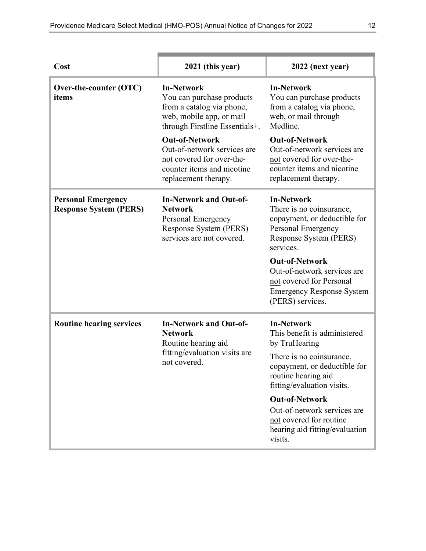| Cost                                                       | 2021 (this year)                                                                                                                          | 2022 (next year)                                                                                                                           |
|------------------------------------------------------------|-------------------------------------------------------------------------------------------------------------------------------------------|--------------------------------------------------------------------------------------------------------------------------------------------|
| Over-the-counter (OTC)<br>items                            | <b>In-Network</b><br>You can purchase products<br>from a catalog via phone,<br>web, mobile app, or mail<br>through Firstline Essentials+. | <b>In-Network</b><br>You can purchase products<br>from a catalog via phone,<br>web, or mail through<br>Medline.                            |
|                                                            | <b>Out-of-Network</b><br>Out-of-network services are<br>not covered for over-the-<br>counter items and nicotine<br>replacement therapy.   | <b>Out-of-Network</b><br>Out-of-network services are<br>not covered for over-the-<br>counter items and nicotine<br>replacement therapy.    |
| <b>Personal Emergency</b><br><b>Response System (PERS)</b> | <b>In-Network and Out-of-</b><br><b>Network</b><br>Personal Emergency<br>Response System (PERS)<br>services are not covered.              | <b>In-Network</b><br>There is no coinsurance,<br>copayment, or deductible for<br>Personal Emergency<br>Response System (PERS)<br>services. |
|                                                            |                                                                                                                                           | <b>Out-of-Network</b><br>Out-of-network services are<br>not covered for Personal<br><b>Emergency Response System</b><br>(PERS) services.   |
| <b>Routine hearing services</b>                            | <b>In-Network and Out-of-</b><br><b>Network</b><br>Routine hearing aid                                                                    | <b>In-Network</b><br>This benefit is administered<br>by TruHearing                                                                         |
| not covered.                                               | fitting/evaluation visits are                                                                                                             | There is no coinsurance,<br>copayment, or deductible for<br>routine hearing aid<br>fitting/evaluation visits.                              |
|                                                            |                                                                                                                                           | <b>Out-of-Network</b><br>Out-of-network services are<br>not covered for routine<br>hearing aid fitting/evaluation<br>visits.               |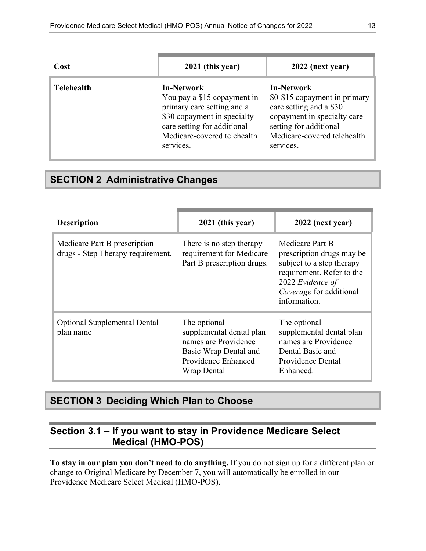| Cost              | 2021 (this year)                                                                                                                                                                         | 2022 (next year)                                                                                                                                                                   |
|-------------------|------------------------------------------------------------------------------------------------------------------------------------------------------------------------------------------|------------------------------------------------------------------------------------------------------------------------------------------------------------------------------------|
| <b>Telehealth</b> | <b>In-Network</b><br>You pay a \$15 copayment in<br>primary care setting and a<br>\$30 copayment in specialty<br>care setting for additional<br>Medicare-covered telehealth<br>services. | <b>In-Network</b><br>\$0-\$15 copayment in primary<br>care setting and a \$30<br>copayment in specialty care<br>setting for additional<br>Medicare-covered telehealth<br>services. |

# <span id="page-14-0"></span>**SECTION 2 Administrative Changes**

| <b>Description</b>                                                | 2021 (this year)                                                                                                                | 2022 (next year)                                                                                                                                                      |
|-------------------------------------------------------------------|---------------------------------------------------------------------------------------------------------------------------------|-----------------------------------------------------------------------------------------------------------------------------------------------------------------------|
| Medicare Part B prescription<br>drugs - Step Therapy requirement. | There is no step therapy<br>requirement for Medicare<br>Part B prescription drugs.                                              | Medicare Part B<br>prescription drugs may be<br>subject to a step therapy<br>requirement. Refer to the<br>2022 Evidence of<br>Coverage for additional<br>information. |
| <b>Optional Supplemental Dental</b><br>plan name                  | The optional<br>supplemental dental plan<br>names are Providence<br>Basic Wrap Dental and<br>Providence Enhanced<br>Wrap Dental | The optional<br>supplemental dental plan<br>names are Providence<br>Dental Basic and<br>Providence Dental<br>Enhanced.                                                |

# <span id="page-14-1"></span>**SECTION 3 Deciding Which Plan to Choose**

# <span id="page-14-2"></span>**Section 3.1 – If you want to stay in Providence Medicare Select Medical (HMO-POS)**

**To stay in our plan you don't need to do anything.** If you do not sign up for a different plan or change to Original Medicare by December 7, you will automatically be enrolled in our Providence Medicare Select Medical (HMO-POS).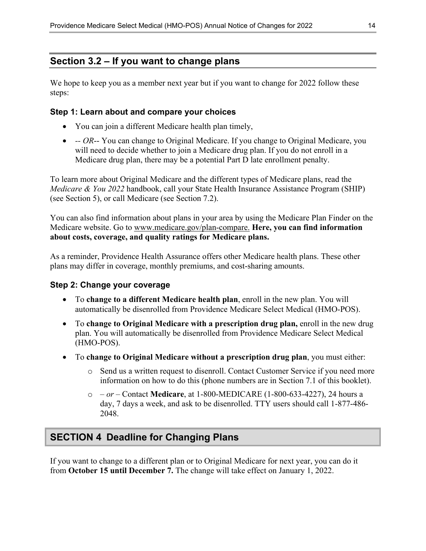### <span id="page-15-0"></span>**Section 3.2 – If you want to change plans**

We hope to keep you as a member next year but if you want to change for 2022 follow these steps:

#### **Step 1: Learn about and compare your choices**

- You can join a different Medicare health plan timely,
- *-- OR*-- You can change to Original Medicare. If you change to Original Medicare, you will need to decide whether to join a Medicare drug plan. If you do not enroll in a Medicare drug plan, there may be a potential Part D late enrollment penalty.

To learn more about Original Medicare and the different types of Medicare plans, read the *Medicare & You 2022* handbook, call your State Health Insurance Assistance Program (SHIP) (see Section 5), or call Medicare (see Section 7.2).

You can also find information about plans in your area by using the Medicare Plan Finder on the Medicare website. Go to [www.medicare.gov/plan-compare](http://www.medicare.gov/plan-compare). **Here, you can find information about costs, coverage, and quality ratings for Medicare plans.** 

As a reminder, Providence Health Assurance offers other Medicare health plans. These other plans may differ in coverage, monthly premiums, and cost-sharing amounts.

#### **Step 2: Change your coverage**

- To **change to a different Medicare health plan**, enroll in the new plan. You will automatically be disenrolled from Providence Medicare Select Medical (HMO-POS).
- To **change to Original Medicare with a prescription drug plan,** enroll in the new drug plan. You will automatically be disenrolled from Providence Medicare Select Medical (HMO-POS).
- To **change to Original Medicare without a prescription drug plan**, you must either:
	- o Send us a written request to disenroll. Contact Customer Service if you need more information on how to do this (phone numbers are in Section 7.1 of this booklet).
	- o  *or –* Contact **Medicare**, at 1-800-MEDICARE (1-800-633-4227), 24 hours a day, 7 days a week, and ask to be disenrolled. TTY users should call 1-877-486 2048.

# <span id="page-15-1"></span>**SECTION 4 Deadline for Changing Plans**

If you want to change to a different plan or to Original Medicare for next year, you can do it from **October 15 until December 7.** The change will take effect on January 1, 2022.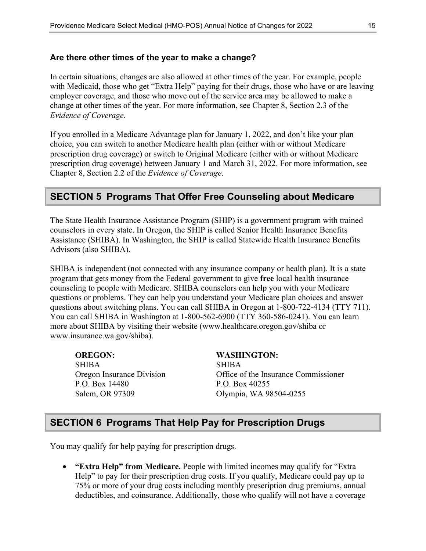#### **Are there other times of the year to make a change?**

In certain situations, changes are also allowed at other times of the year. For example, people with Medicaid, those who get "Extra Help" paying for their drugs, those who have or are leaving employer coverage, and those who move out of the service area may be allowed to make a change at other times of the year. For more information, see Chapter 8, Section 2.3 of the *Evidence of Coverage.* 

 Chapter 8, Section 2.2 of the *Evidence of Coverage*. If you enrolled in a Medicare Advantage plan for January 1, 2022, and don't like your plan choice, you can switch to another Medicare health plan (either with or without Medicare prescription drug coverage) or switch to Original Medicare (either with or without Medicare prescription drug coverage) between January 1 and March 31, 2022. For more information, see

### <span id="page-16-0"></span>**SECTION 5 Programs That Offer Free Counseling about Medicare**

The State Health Insurance Assistance Program (SHIP) is a government program with trained counselors in every state. In Oregon, the SHIP is called Senior Health Insurance Benefits Assistance (SHIBA). In Washington, the SHIP is called Statewide Health Insurance Benefits Advisors (also SHIBA).

SHIBA is independent (not connected with any insurance company or health plan). It is a state program that gets money from the Federal government to give **free** local health insurance counseling to people with Medicare. SHIBA counselors can help you with your Medicare questions or problems. They can help you understand your Medicare plan choices and answer questions about switching plans. You can call SHIBA in Oregon at 1-800-722-4134 (TTY 711). You can call SHIBA in Washington at 1-800-562-6900 (TTY 360-586-0241). You can learn more about SHIBA by visiting their website ([www.healthcare.oregon.gov/shiba](http://www.healthcare.oregon.gov/shiba) or [www.insurance.wa.gov/shiba\)](http://www.insurance.wa.gov/shiba).

**OREGON: WASHINGTON:**  SHIBA SHIBA P.O. Box 14480 P.O. Box 40255

Oregon Insurance Division Office of the Insurance Commissioner Salem, OR 97309 Olympia, WA 98504-0255

### <span id="page-16-1"></span>**SECTION 6 Programs That Help Pay for Prescription Drugs**

You may qualify for help paying for prescription drugs.

 **"Extra Help" from Medicare.** People with limited incomes may qualify for "Extra Help" to pay for their prescription drug costs. If you qualify, Medicare could pay up to 75% or more of your drug costs including monthly prescription drug premiums, annual deductibles, and coinsurance. Additionally, those who qualify will not have a coverage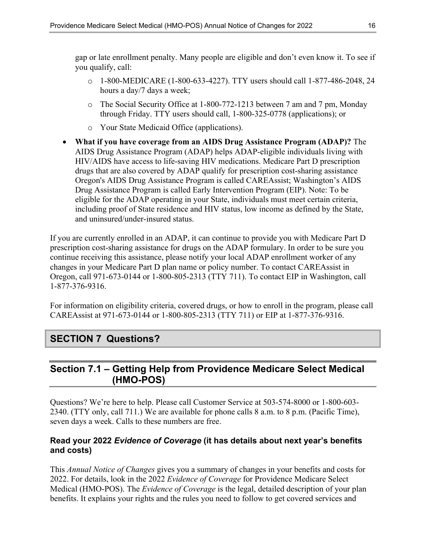gap or late enrollment penalty. Many people are eligible and don't even know it. To see if you qualify, call:

- o 1-800-MEDICARE (1-800-633-4227). TTY users should call 1-877-486-2048, 24 hours a day/7 days a week;
- o The Social Security Office at 1-800-772-1213 between 7 am and 7 pm, Monday through Friday. TTY users should call, 1-800-325-0778 (applications); or
- o Your State Medicaid Office (applications).
- **What if you have coverage from an AIDS Drug Assistance Program (ADAP)?** The AIDS Drug Assistance Program (ADAP) helps ADAP-eligible individuals living with HIV/AIDS have access to life-saving HIV medications. Medicare Part D prescription drugs that are also covered by ADAP qualify for prescription cost-sharing assistance Oregon's AIDS Drug Assistance Program is called CAREAssist; Washington's AIDS Drug Assistance Program is called Early Intervention Program (EIP). Note: To be eligible for the ADAP operating in your State, individuals must meet certain criteria, including proof of State residence and HIV status, low income as defined by the State, and uninsured/under-insured status.

If you are currently enrolled in an ADAP, it can continue to provide you with Medicare Part D prescription cost-sharing assistance for drugs on the ADAP formulary. In order to be sure you continue receiving this assistance, please notify your local ADAP enrollment worker of any changes in your Medicare Part D plan name or policy number. To contact CAREAssist in Oregon, call 971-673-0144 or 1-800-805-2313 (TTY 711). To contact EIP in Washington, call 1-877-376-9316.

For information on eligibility criteria, covered drugs, or how to enroll in the program, please call CAREAssist at 971-673-0144 or 1-800-805-2313 (TTY 711) or EIP at 1-877-376-9316.

# <span id="page-17-0"></span>**SECTION 7 Questions?**

# <span id="page-17-1"></span>**Section 7.1 – Getting Help from Providence Medicare Select Medical (HMO-POS)**

Questions? We're here to help. Please call Customer Service at 503-574-8000 or 1-800-603 2340. (TTY only, call 711.) We are available for phone calls 8 a.m. to 8 p.m. (Pacific Time), seven days a week. Calls to these numbers are free.

#### **Read your 2022** *Evidence of Coverage* **(it has details about next year's benefits and costs)**

This *Annual Notice of Changes* gives you a summary of changes in your benefits and costs for 2022. For details, look in the 2022 *Evidence of Coverage* for Providence Medicare Select Medical (HMO-POS). The *Evidence of Coverage* is the legal, detailed description of your plan benefits. It explains your rights and the rules you need to follow to get covered services and